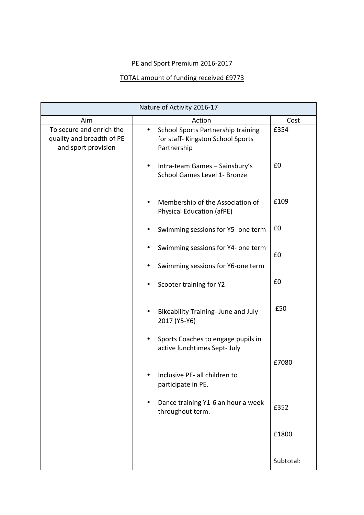## PE and Sport Premium 2016-2017

## TOTAL amount of funding received £9773

| Nature of Activity 2016-17                                                   |                                                                                                     |           |
|------------------------------------------------------------------------------|-----------------------------------------------------------------------------------------------------|-----------|
| Aim                                                                          | Action                                                                                              | Cost      |
| To secure and enrich the<br>quality and breadth of PE<br>and sport provision | School Sports Partnership training<br>$\bullet$<br>for staff- Kingston School Sports<br>Partnership | £354      |
|                                                                              | Intra-team Games - Sainsbury's<br>$\bullet$<br>School Games Level 1- Bronze                         | £0        |
|                                                                              | Membership of the Association of<br>Physical Education (afPE)                                       | £109      |
|                                                                              | Swimming sessions for Y5- one term                                                                  | £0        |
|                                                                              | Swimming sessions for Y4- one term<br>Swimming sessions for Y6-one term                             | £0        |
|                                                                              |                                                                                                     |           |
|                                                                              | Scooter training for Y2                                                                             | £0        |
|                                                                              | Bikeability Training- June and July<br>2017 (Y5-Y6)                                                 | £50       |
|                                                                              | Sports Coaches to engage pupils in<br>active lunchtimes Sept- July                                  |           |
|                                                                              |                                                                                                     | £7080     |
|                                                                              | Inclusive PE- all children to<br>participate in PE.                                                 |           |
|                                                                              | Dance training Y1-6 an hour a week<br>٠<br>throughout term.                                         | £352      |
|                                                                              |                                                                                                     | £1800     |
|                                                                              |                                                                                                     | Subtotal: |